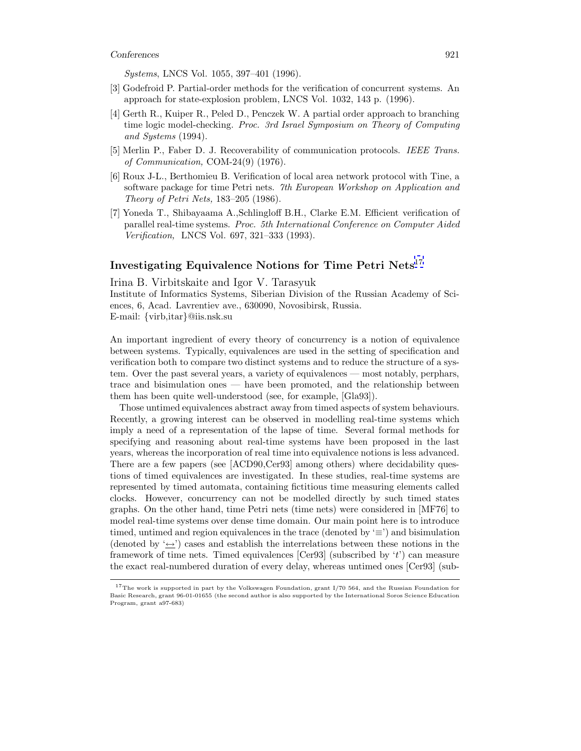Systems, LNCS Vol. 1055, 397–401 (1996).

- [3] Godefroid P. Partial-order methods for the verification of concurrent systems. An approach for state-explosion problem, LNCS Vol. 1032, 143 p. (1996).
- [4] Gerth R., Kuiper R., Peled D., Penczek W. A partial order approach to branching time logic model-checking. Proc. 3rd Israel Symposium on Theory of Computing and Systems (1994).
- [5] Merlin P., Faber D. J. Recoverability of communication protocols. IEEE Trans. of Communication, COM-24(9) (1976).
- [6] Roux J-L., Berthomieu B. Verification of local area network protocol with Tine, a software package for time Petri nets. 7th European Workshop on Application and Theory of Petri Nets, 183–205 (1986).
- [7] Yoneda T., Shibayaama A.,Schlingloff B.H., Clarke E.M. Efficient verification of parallel real-time systems. Proc. 5th International Conference on Computer Aided Verification, LNCS Vol. 697, 321–333 (1993).

## **Investigating Equivalence Notions for Time Petri Nets**<sup>17</sup>

Irina B. Virbitskaite and Igor V. Tarasyuk

Institute of Informatics Systems, Siberian Division of the Russian Academy of Sciences, 6, Acad. Lavrentiev ave., 630090, Novosibirsk, Russia. E-mail: {virb,itar}@iis.nsk.su

An important ingredient of every theory of concurrency is a notion of equivalence between systems. Typically, equivalences are used in the setting of specification and verification both to compare two distinct systems and to reduce the structure of a system. Over the past several years, a variety of equivalences — most notably, perphars, trace and bisimulation ones — have been promoted, and the relationship between them has been quite well-understood (see, for example, [Gla93]).

Those untimed equivalences abstract away from timed aspects of system behaviours. Recently, a growing interest can be observed in modelling real-time systems which imply a need of a representation of the lapse of time. Several formal methods for specifying and reasoning about real-time systems have been proposed in the last years, whereas the incorporation of real time into equivalence notions is less advanced. There are a few papers (see [ACD90,Cer93] among others) where decidability questions of timed equivalences are investigated. In these studies, real-time systems are represented by timed automata, containing fictitious time measuring elements called clocks. However, concurrency can not be modelled directly by such timed states graphs. On the other hand, time Petri nets (time nets) were considered in [MF76] to model real-time systems over dense time domain. Our main point here is to introduce timed, untimed and region equivalences in the trace (denoted by  $\equiv$ ) and bisimulation (denoted by  $\leftrightarrow$ ) cases and establish the interrelations between these notions in the framework of time nets. Timed equivalences  $[Cer93]$  (subscribed by 't') can measure the exact real-numbered duration of every delay, whereas untimed ones [Cer93] (sub-

<sup>&</sup>lt;sup>17</sup>The work is supported in part by the Volkswagen Foundation, grant I/70 564, and the Russian Foundation for Basic Research, grant 96-01-01655 (the second author is also supported by the International Soros Science Education Program, grant a97-683)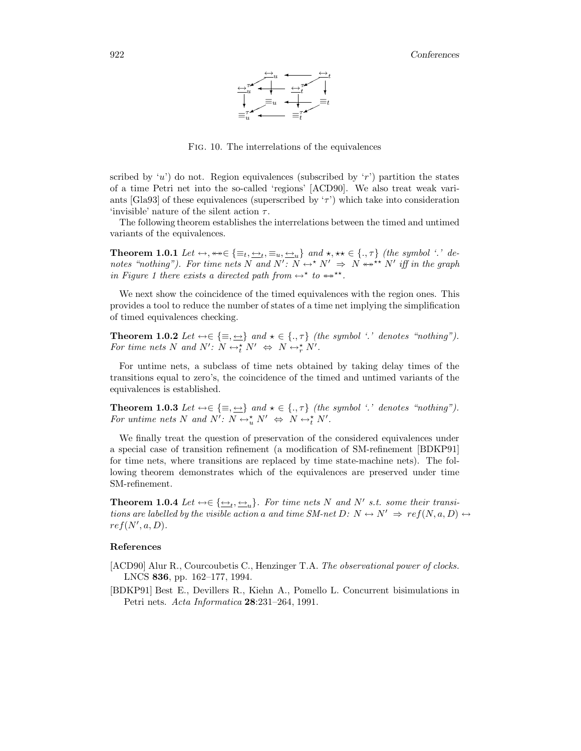

Fig. 10. The interrelations of the equivalences

scribed by 'u') do not. Region equivalences (subscribed by 'r') partition the states of a time Petri net into the so-called 'regions' [ACD90]. We also treat weak variants [Gla93] of these equivalences (superscribed by  $\tau$ ) which take into consideration 'invisible' nature of the silent action  $\tau$ .

The following theorem establishes the interrelations between the timed and untimed variants of the equivalences.

**Theorem 1.0.1** Let  $\leftrightarrow$ ,  $\leftrightarrow \in \{\equiv_t, \underline{\leftrightarrow}_t, \equiv_u, \underline{\leftrightarrow}_u\}$  and  $\star$ ,  $\star \star \in \{., \tau\}$  (the symbol '.' denotes "nothing"). For time nets N and  $N' : N \leftrightarrow N' \Rightarrow N \leftrightarrow N'$  iff in the graph in Figure 1 there exists a directed path from  $\leftrightarrow^*$  to  $\leftrightarrow^{**}$ .

We next show the coincidence of the timed equivalences with the region ones. This provides a tool to reduce the number of states of a time net implying the simplification of timed equivalences checking.

**Theorem 1.0.2** Let  $\leftrightarrow \in \{\equiv, \underline{\leftrightarrow}\}$  and  $\star \in \{., \tau\}$  (the symbol '.' denotes "nothing"). For time nets N and N':  $N \leftrightarrow^*_{t} N' \Leftrightarrow N \leftrightarrow^*_{r} N'$ .

For untime nets, a subclass of time nets obtained by taking delay times of the transitions equal to zero's, the coincidence of the timed and untimed variants of the equivalences is established.

**Theorem 1.0.3** Let  $\leftrightarrow \in \{\equiv, \Longrightarrow\}$  and  $\star \in \{., \tau\}$  (the symbol '.' denotes "nothing"). For untime nets N and N':  $N \leftrightarrow_{u}^{*} N' \Leftrightarrow N \leftrightarrow_{t}^{*} N'$ .

We finally treat the question of preservation of the considered equivalences under a special case of transition refinement (a modification of SM-refinement [BDKP91] for time nets, where transitions are replaced by time state-machine nets). The following theorem demonstrates which of the equivalences are preserved under time SM-refinement.

**Theorem 1.0.4** Let  $\leftrightarrow \in \{\underline{\leftrightarrow}_t, \underline{\leftrightarrow}_u\}$ . For time nets N and N' s.t. some their transitions are labelled by the visible action a and time SM-net D:  $N \leftrightarrow N' \Rightarrow ref(N, a, D) \leftrightarrow$  $ref(N', a, D).$ 

## **References**

[ACD90] Alur R., Courcoubetis C., Henzinger T.A. The observational power of clocks. LNCS **836**, pp. 162–177, 1994.

[BDKP91] Best E., Devillers R., Kiehn A., Pomello L. Concurrent bisimulations in Petri nets. Acta Informatica **28**:231–264, 1991.